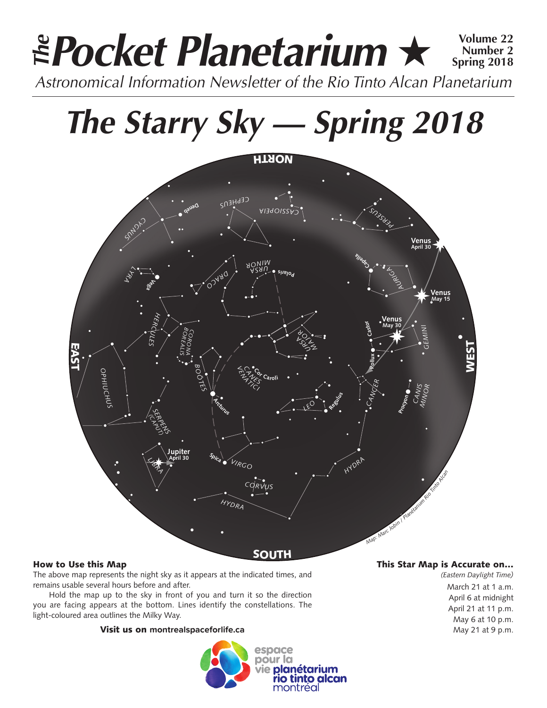### *Pocket Planetarium* ★ **Volume 22** *Astronomical Information Newsletter of the Rio Tinto Alcan Planetarium The* **Number 2 Spring 2018**

# *The Starry Sky — Spring 2018*



#### How to Use this Map

The above map represents the night sky as it appears at the indicated times, and remains usable several hours before and after.

Hold the map up to the sky in front of you and turn it so the direction you are facing appears at the bottom. Lines identify the constellations. The light-coloured area outlines the Milky Way.

#### Visit us on **montrealspaceforlife.ca**



#### This Star Map is Accurate on…

*(Eastern Daylight Time)* March 21 at 1 a.m. April 6 at midnight April 21 at 11 p.m. May 6 at 10 p.m. May 21 at 9 p.m.